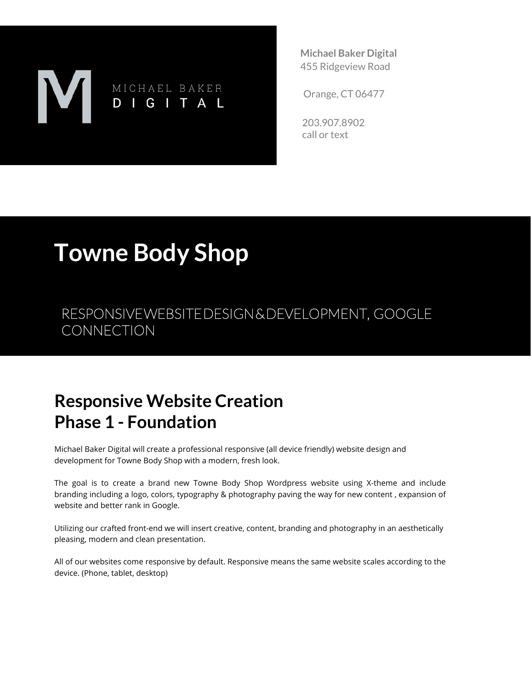# MICHAEL BAKER DIGITAL

**Michael Baker Digital** 455 Ridgeview Road

Orange, CT 06477

203.907.8902 call or text

# **Towne Body Shop**

RESPONSIVE WEBSITE DESIGN & DEVELOPMENT, GOOGLE **CONNECTION** 

### **Responsive Website Creation Phase 1 - Foundation**

Michael Baker Digital will create a professional responsive (all device friendly) website design and development for Towne Body Shop with a modern, fresh look.

The goal is to create a brand new Towne Body Shop Wordpress website using X-theme and include branding including a logo, colors, typography & photography paving the way for new content , expansion of website and better rank in Google.

Utilizing our crafted front-end we will insert creative, content, branding and photography in an aesthetically pleasing, modern and clean presentation.

All of our websites come responsive by default. Responsive means the same website scales according to the device. (Phone, tablet, desktop)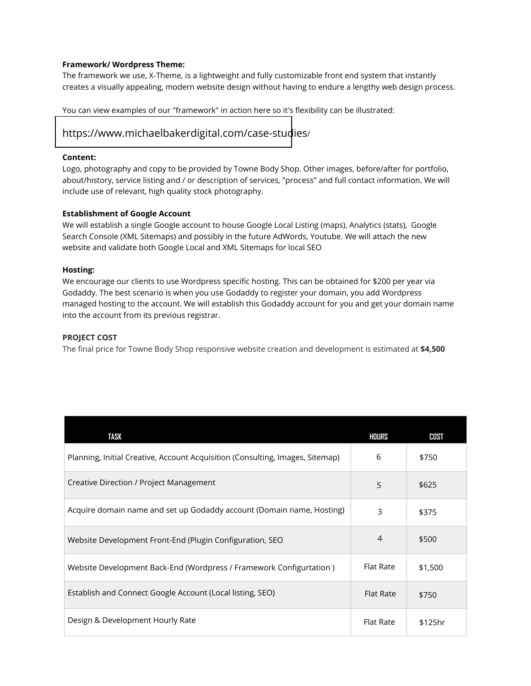#### **Framework/ Wordpress Theme:**

The framework we use, X-Theme, is a lightweight and fully customizable front end system that instantly creates a visually appealing, modern website design without having to endure a lengthy web design process.

You can view examples of our "framework" in action here so it's flexibility can be illustrated:

#### [https://www.michaelbakerdigital.com/case-stud](https://www.michaelbakerdigital.com/case-studies/)ies/

#### **Content:**

Logo, photography and copy to be provided by Towne Body Shop. Other images, before/after for portfolio, about/history, service listing and / or description of services, "process" and full contact information. We will include use of relevant, high quality stock photography.

#### **Establishment of Google Account**

We will establish a single Google account to house Google Local Listing (maps), Analytics (stats), Google Search Console (XML Sitemaps) and possibly in the future AdWords, Youtube. We will attach the new website and validate both Google Local and XML Sitemaps for local SEO

#### **Hosting:**

We encourage our clients to use Wordpress specific hosting. This can be obtained for \$200 per year via Godaddy. The best scenario is when you use Godaddy to register your domain, you add Wordpress managed hosting to the account. We will establish this Godaddy account for you and get your domain name into the account from its previous registrar.

#### **PROJECT COST**

The final price for Towne Body Shop responsive website creation and development is estimated at **\$4,500**

| TASK                                                                          | HOURS            | COST    |
|-------------------------------------------------------------------------------|------------------|---------|
| Planning, Initial Creative, Account Acquisition (Consulting, Images, Sitemap) | 6                | \$750   |
| Creative Direction / Project Management                                       | 5                | \$625   |
| Acquire domain name and set up Godaddy account (Domain name, Hosting)         | 3                | \$375   |
| Website Development Front-End (Plugin Configuration, SEO                      | $\overline{4}$   | \$500   |
| Website Development Back-End (Wordpress / Framework Configurtation)           | Flat Rate        | \$1,500 |
| Establish and Connect Google Account (Local listing, SEO)                     | <b>Flat Rate</b> | \$750   |
| Design & Development Hourly Rate                                              | Flat Rate        | \$125hr |